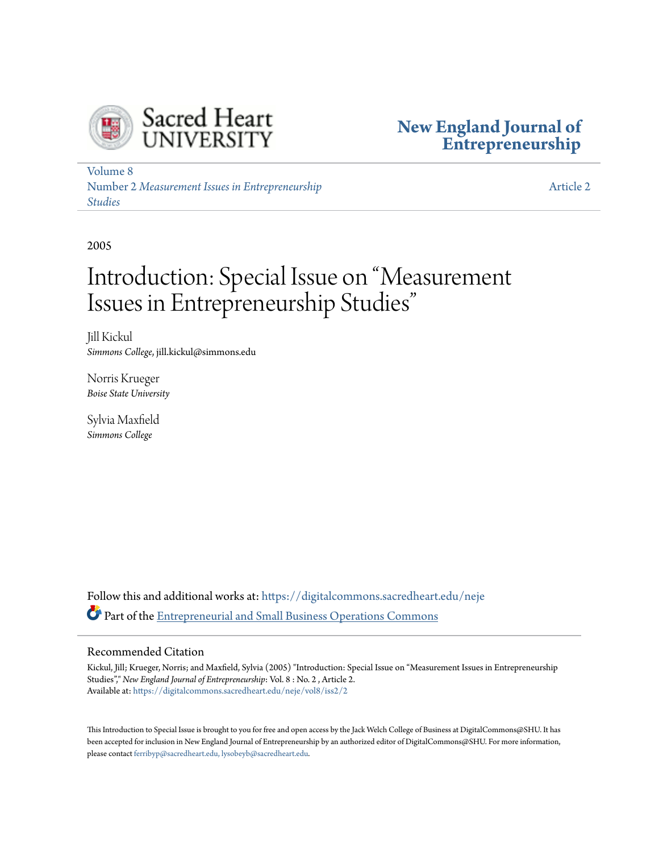

### **[New England Journal of](https://digitalcommons.sacredheart.edu/neje?utm_source=digitalcommons.sacredheart.edu%2Fneje%2Fvol8%2Fiss2%2F2&utm_medium=PDF&utm_campaign=PDFCoverPages) [Entrepreneurship](https://digitalcommons.sacredheart.edu/neje?utm_source=digitalcommons.sacredheart.edu%2Fneje%2Fvol8%2Fiss2%2F2&utm_medium=PDF&utm_campaign=PDFCoverPages)**

[Volume 8](https://digitalcommons.sacredheart.edu/neje/vol8?utm_source=digitalcommons.sacredheart.edu%2Fneje%2Fvol8%2Fiss2%2F2&utm_medium=PDF&utm_campaign=PDFCoverPages) Number 2 *[Measurement Issues in Entrepreneurship](https://digitalcommons.sacredheart.edu/neje/vol8/iss2?utm_source=digitalcommons.sacredheart.edu%2Fneje%2Fvol8%2Fiss2%2F2&utm_medium=PDF&utm_campaign=PDFCoverPages) [Studies](https://digitalcommons.sacredheart.edu/neje/vol8/iss2?utm_source=digitalcommons.sacredheart.edu%2Fneje%2Fvol8%2Fiss2%2F2&utm_medium=PDF&utm_campaign=PDFCoverPages)*

[Article 2](https://digitalcommons.sacredheart.edu/neje/vol8/iss2/2?utm_source=digitalcommons.sacredheart.edu%2Fneje%2Fvol8%2Fiss2%2F2&utm_medium=PDF&utm_campaign=PDFCoverPages)

2005

## Introduction: Special Issue on "Measurement Issues in Entrepreneurship Studies"

Jill Kickul *Simmons College*, jill.kickul@simmons.edu

Norris Krueger *Boise State University*

Sylvia Maxfield *Simmons College*

Follow this and additional works at: [https://digitalcommons.sacredheart.edu/neje](https://digitalcommons.sacredheart.edu/neje?utm_source=digitalcommons.sacredheart.edu%2Fneje%2Fvol8%2Fiss2%2F2&utm_medium=PDF&utm_campaign=PDFCoverPages) Part of the [Entrepreneurial and Small Business Operations Commons](http://network.bepress.com/hgg/discipline/630?utm_source=digitalcommons.sacredheart.edu%2Fneje%2Fvol8%2Fiss2%2F2&utm_medium=PDF&utm_campaign=PDFCoverPages)

### Recommended Citation

Kickul, Jill; Krueger, Norris; and Maxfield, Sylvia (2005) "Introduction: Special Issue on "Measurement Issues in Entrepreneurship Studies"," *New England Journal of Entrepreneurship*: Vol. 8 : No. 2 , Article 2. Available at: [https://digitalcommons.sacredheart.edu/neje/vol8/iss2/2](https://digitalcommons.sacredheart.edu/neje/vol8/iss2/2?utm_source=digitalcommons.sacredheart.edu%2Fneje%2Fvol8%2Fiss2%2F2&utm_medium=PDF&utm_campaign=PDFCoverPages)

This Introduction to Special Issue is brought to you for free and open access by the Jack Welch College of Business at DigitalCommons@SHU. It has been accepted for inclusion in New England Journal of Entrepreneurship by an authorized editor of DigitalCommons@SHU. For more information, please contact [ferribyp@sacredheart.edu, lysobeyb@sacredheart.edu](mailto:ferribyp@sacredheart.edu,%20lysobeyb@sacredheart.edu).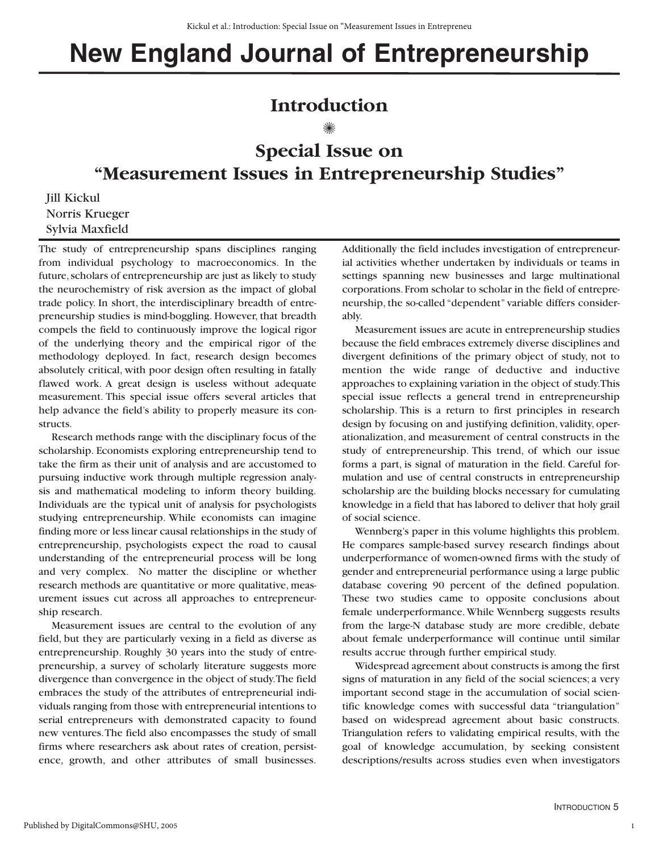# **New England Journal of Entrepreneurship**

## **Introduction**

✺

**Special Issue on "Measurement Issues in Entrepreneurship Studies"**

Jill Kickul Norris Krueger Sylvia Maxfield

The study of entrepreneurship spans disciplines ranging from individual psychology to macroeconomics. In the future, scholars of entrepreneurship are just as likely to study the neurochemistry of risk aversion as the impact of global trade policy. In short, the interdisciplinary breadth of entrepreneurship studies is mind-boggling. However, that breadth compels the field to continuously improve the logical rigor of the underlying theory and the empirical rigor of the methodology deployed. In fact, research design becomes absolutely critical, with poor design often resulting in fatally flawed work. A great design is useless without adequate measurement. This special issue offers several articles that help advance the field's ability to properly measure its constructs.

Research methods range with the disciplinary focus of the scholarship. Economists exploring entrepreneurship tend to take the firm as their unit of analysis and are accustomed to pursuing inductive work through multiple regression analysis and mathematical modeling to inform theory building. Individuals are the typical unit of analysis for psychologists studying entrepreneurship. While economists can imagine finding more or less linear causal relationships in the study of entrepreneurship, psychologists expect the road to causal understanding of the entrepreneurial process will be long and very complex. No matter the discipline or whether research methods are quantitative or more qualitative, measurement issues cut across all approaches to entrepreneurship research.

Measurement issues are central to the evolution of any field, but they are particularly vexing in a field as diverse as entrepreneurship. Roughly 30 years into the study of entrepreneurship, a survey of scholarly literature suggests more divergence than convergence in the object of study.The field embraces the study of the attributes of entrepreneurial individuals ranging from those with entrepreneurial intentions to serial entrepreneurs with demonstrated capacity to found new ventures.The field also encompasses the study of small firms where researchers ask about rates of creation, persistence, growth, and other attributes of small businesses.

Additionally the field includes investigation of entrepreneurial activities whether undertaken by individuals or teams in settings spanning new businesses and large multinational corporations.From scholar to scholar in the field of entrepreneurship, the so-called "dependent" variable differs considerably.

Measurement issues are acute in entrepreneurship studies because the field embraces extremely diverse disciplines and divergent definitions of the primary object of study, not to mention the wide range of deductive and inductive approaches to explaining variation in the object of study.This special issue reflects a general trend in entrepreneurship scholarship. This is a return to first principles in research design by focusing on and justifying definition, validity, operationalization, and measurement of central constructs in the study of entrepreneurship. This trend, of which our issue forms a part, is signal of maturation in the field. Careful formulation and use of central constructs in entrepreneurship scholarship are the building blocks necessary for cumulating knowledge in a field that has labored to deliver that holy grail of social science.

Wennberg's paper in this volume highlights this problem. He compares sample-based survey research findings about underperformance of women-owned firms with the study of gender and entrepreneurial performance using a large public database covering 90 percent of the defined population. These two studies came to opposite conclusions about female underperformance. While Wennberg suggests results from the large-N database study are more credible, debate about female underperformance will continue until similar results accrue through further empirical study.

Widespread agreement about constructs is among the first signs of maturation in any field of the social sciences; a very important second stage in the accumulation of social scientific knowledge comes with successful data "triangulation" based on widespread agreement about basic constructs. Triangulation refers to validating empirical results, with the goal of knowledge accumulation, by seeking consistent descriptions/results across studies even when investigators

1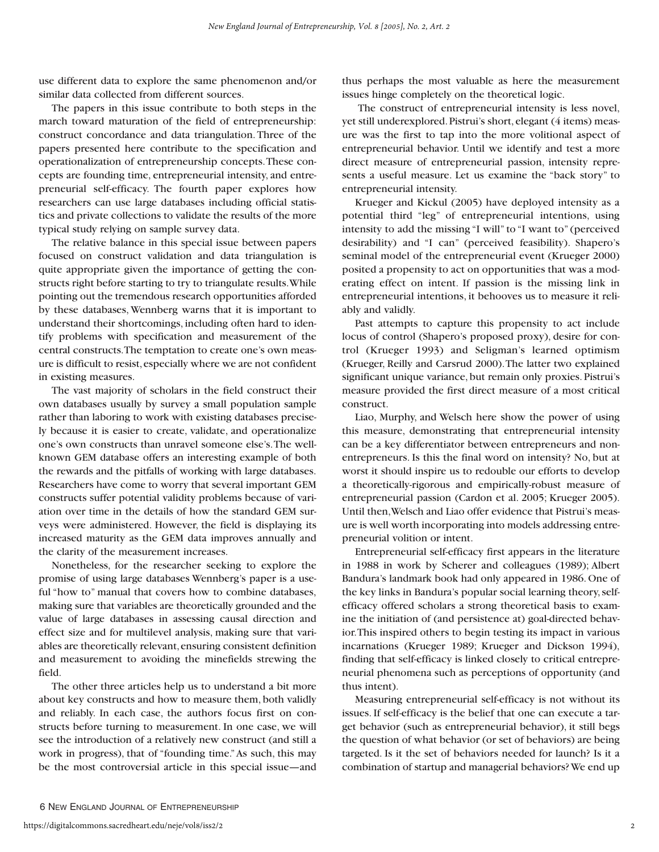use different data to explore the same phenomenon and/or similar data collected from different sources.

The papers in this issue contribute to both steps in the march toward maturation of the field of entrepreneurship: construct concordance and data triangulation. Three of the papers presented here contribute to the specification and operationalization of entrepreneurship concepts.These concepts are founding time, entrepreneurial intensity, and entrepreneurial self-efficacy. The fourth paper explores how researchers can use large databases including official statistics and private collections to validate the results of the more typical study relying on sample survey data.

The relative balance in this special issue between papers focused on construct validation and data triangulation is quite appropriate given the importance of getting the constructs right before starting to try to triangulate results.While pointing out the tremendous research opportunities afforded by these databases, Wennberg warns that it is important to understand their shortcomings, including often hard to identify problems with specification and measurement of the central constructs.The temptation to create one's own measure is difficult to resist, especially where we are not confident in existing measures.

The vast majority of scholars in the field construct their own databases usually by survey a small population sample rather than laboring to work with existing databases precisely because it is easier to create, validate, and operationalize one's own constructs than unravel someone else's.The wellknown GEM database offers an interesting example of both the rewards and the pitfalls of working with large databases. Researchers have come to worry that several important GEM constructs suffer potential validity problems because of variation over time in the details of how the standard GEM surveys were administered. However, the field is displaying its increased maturity as the GEM data improves annually and the clarity of the measurement increases.

Nonetheless, for the researcher seeking to explore the promise of using large databases Wennberg's paper is a useful "how to" manual that covers how to combine databases, making sure that variables are theoretically grounded and the value of large databases in assessing causal direction and effect size and for multilevel analysis, making sure that variables are theoretically relevant, ensuring consistent definition and measurement to avoiding the minefields strewing the field.

The other three articles help us to understand a bit more about key constructs and how to measure them, both validly and reliably. In each case, the authors focus first on constructs before turning to measurement. In one case, we will see the introduction of a relatively new construct (and still a work in progress), that of "founding time."As such, this may be the most controversial article in this special issue—and thus perhaps the most valuable as here the measurement issues hinge completely on the theoretical logic.

The construct of entrepreneurial intensity is less novel, yet still under explored. Pistrui's short, elegant (4 items) measure was the first to tap into the more volitional aspect of entrepreneurial behavior. Until we identify and test a more direct measure of entrepreneurial passion, intensity represents a useful measure. Let us examine the "back story" to entrepreneurial intensity.

Krueger and Kickul (2005) have deployed intensity as a potential third "leg" of entrepreneurial intentions, using intensity to add the missing "I will" to "I want to" (perceived desirability) and "I can" (perceived feasibility). Shapero's seminal model of the entrepreneurial event (Krueger 2000) posited a propensity to act on opportunities that was a moderating effect on intent. If passion is the missing link in entrepreneurial intentions, it behooves us to measure it reliably and validly.

Past attempts to capture this propensity to act include locus of control (Shapero's proposed proxy), desire for control (Krueger 1993) and Seligman's learned optimism (Krueger, Reilly and Carsrud 2000).The latter two explained significant unique variance, but remain only proxies. Pistrui's measure provided the first direct measure of a most critical construct.

Liao, Murphy, and Welsch here show the power of using this measure, demonstrating that entrepreneurial intensity can be a key differentiator between entrepreneurs and nonentrepreneurs. Is this the final word on intensity? No, but at worst it should inspire us to redouble our efforts to develop a theoretically-rigorous and empirically-robust measure of entrepreneurial passion (Cardon et al. 2005; Krueger 2005). Until then,Welsch and Liao offer evidence that Pistrui's measure is well worth incorporating into models addressing entrepreneurial volition or intent.

Entrepreneurial self-efficacy first appears in the literature in 1988 in work by Scherer and colleagues (1989); Albert Bandura's landmark book had only appeared in 1986. One of the key links in Bandura's popular social learning theory, selfefficacy offered scholars a strong theoretical basis to examine the initiation of (and persistence at) goal-directed behavior.This inspired others to begin testing its impact in various incarnations (Krueger 1989; Krueger and Dickson 1994), finding that self-efficacy is linked closely to critical entrepreneurial phenomena such as perceptions of opportunity (and thus intent).

Measuring entrepreneurial self-efficacy is not without its issues. If self-efficacy is the belief that one can execute a target behavior (such as entrepreneurial behavior), it still begs the question of what behavior (or set of behaviors) are being targeted. Is it the set of behaviors needed for launch? Is it a combination of startup and managerial behaviors? We end up